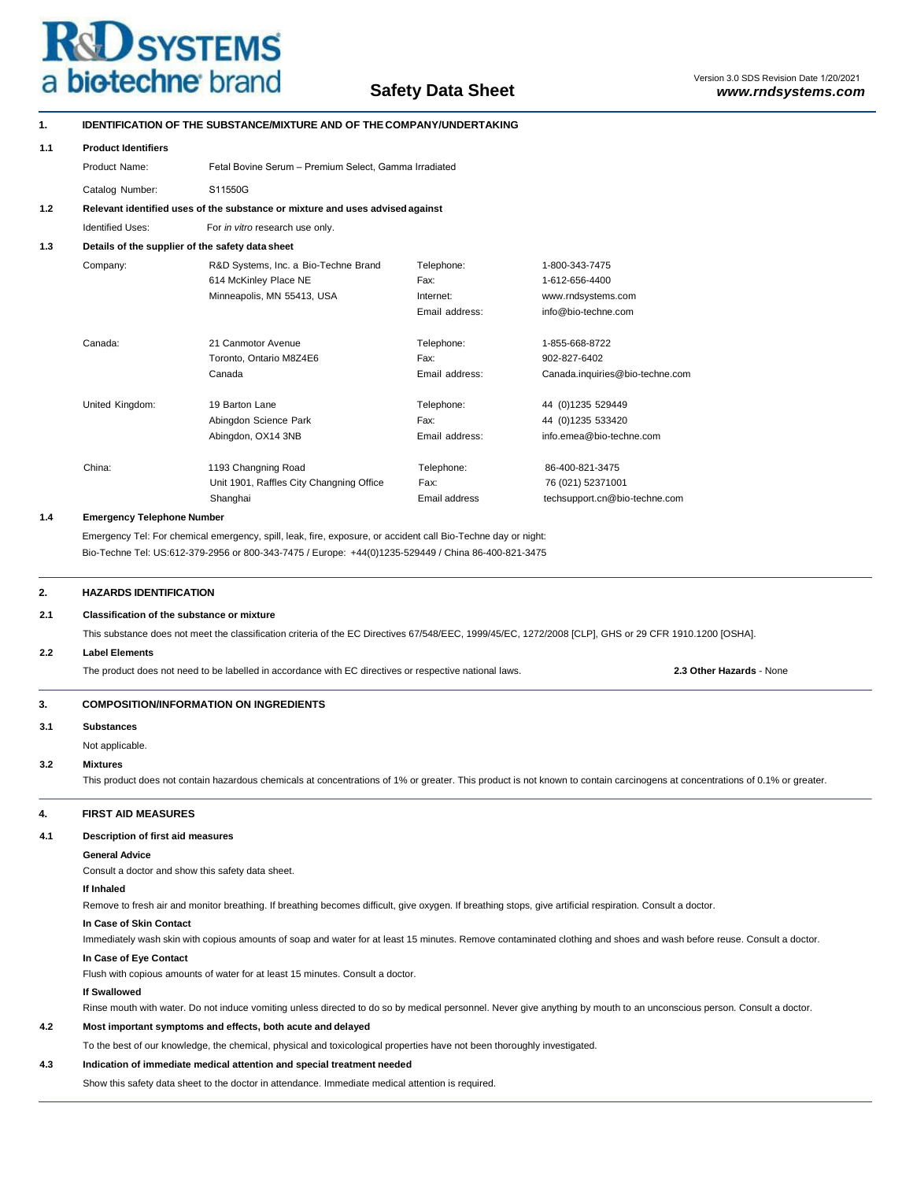

| 1.                                                                                                                                                                                               | <b>IDENTIFICATION OF THE SUBSTANCE/MIXTURE AND OF THE COMPANY/UNDERTAKING</b>                                                                                          |                                                                                                                                                        |                       |                                                                                                                                                                              |  |  |  |  |
|--------------------------------------------------------------------------------------------------------------------------------------------------------------------------------------------------|------------------------------------------------------------------------------------------------------------------------------------------------------------------------|--------------------------------------------------------------------------------------------------------------------------------------------------------|-----------------------|------------------------------------------------------------------------------------------------------------------------------------------------------------------------------|--|--|--|--|
| 1.1                                                                                                                                                                                              | <b>Product Identifiers</b>                                                                                                                                             |                                                                                                                                                        |                       |                                                                                                                                                                              |  |  |  |  |
|                                                                                                                                                                                                  | Product Name:                                                                                                                                                          | Fetal Bovine Serum - Premium Select, Gamma Irradiated                                                                                                  |                       |                                                                                                                                                                              |  |  |  |  |
|                                                                                                                                                                                                  | Catalog Number:<br>S11550G                                                                                                                                             |                                                                                                                                                        |                       |                                                                                                                                                                              |  |  |  |  |
| 1.2                                                                                                                                                                                              |                                                                                                                                                                        | Relevant identified uses of the substance or mixture and uses advised against                                                                          |                       |                                                                                                                                                                              |  |  |  |  |
|                                                                                                                                                                                                  | <b>Identified Uses:</b>                                                                                                                                                | For in vitro research use only.                                                                                                                        |                       |                                                                                                                                                                              |  |  |  |  |
| 1.3                                                                                                                                                                                              |                                                                                                                                                                        | Details of the supplier of the safety data sheet                                                                                                       |                       |                                                                                                                                                                              |  |  |  |  |
|                                                                                                                                                                                                  | Company:                                                                                                                                                               | R&D Systems, Inc. a Bio-Techne Brand                                                                                                                   | Telephone:            | 1-800-343-7475                                                                                                                                                               |  |  |  |  |
|                                                                                                                                                                                                  |                                                                                                                                                                        | 614 McKinley Place NE                                                                                                                                  | Fax:                  | 1-612-656-4400                                                                                                                                                               |  |  |  |  |
|                                                                                                                                                                                                  |                                                                                                                                                                        | Minneapolis, MN 55413, USA                                                                                                                             | Internet:             | www.rndsystems.com                                                                                                                                                           |  |  |  |  |
|                                                                                                                                                                                                  |                                                                                                                                                                        |                                                                                                                                                        | Email address:        | info@bio-techne.com                                                                                                                                                          |  |  |  |  |
|                                                                                                                                                                                                  | Canada:                                                                                                                                                                | 21 Canmotor Avenue                                                                                                                                     | Telephone:            | 1-855-668-8722                                                                                                                                                               |  |  |  |  |
|                                                                                                                                                                                                  |                                                                                                                                                                        | Toronto, Ontario M8Z4E6                                                                                                                                | Fax:                  | 902-827-6402                                                                                                                                                                 |  |  |  |  |
|                                                                                                                                                                                                  |                                                                                                                                                                        | Canada                                                                                                                                                 | Email address:        | Canada.inquiries@bio-techne.com                                                                                                                                              |  |  |  |  |
|                                                                                                                                                                                                  | United Kingdom:                                                                                                                                                        | 19 Barton Lane                                                                                                                                         | Telephone:            | 44 (0)1235 529449                                                                                                                                                            |  |  |  |  |
|                                                                                                                                                                                                  |                                                                                                                                                                        | Abingdon Science Park                                                                                                                                  | Fax:                  | 44 (0)1235 533420                                                                                                                                                            |  |  |  |  |
|                                                                                                                                                                                                  |                                                                                                                                                                        | Abingdon, OX14 3NB                                                                                                                                     | Email address:        | info.emea@bio-techne.com                                                                                                                                                     |  |  |  |  |
|                                                                                                                                                                                                  |                                                                                                                                                                        |                                                                                                                                                        |                       |                                                                                                                                                                              |  |  |  |  |
|                                                                                                                                                                                                  | China:                                                                                                                                                                 | 1193 Changning Road                                                                                                                                    | Telephone:            | 86-400-821-3475                                                                                                                                                              |  |  |  |  |
|                                                                                                                                                                                                  |                                                                                                                                                                        | Unit 1901, Raffles City Changning Office<br>Shanghai                                                                                                   | Fax:<br>Email address | 76 (021) 52371001<br>techsupport.cn@bio-techne.com                                                                                                                           |  |  |  |  |
| 1.4                                                                                                                                                                                              | <b>Emergency Telephone Number</b>                                                                                                                                      |                                                                                                                                                        |                       |                                                                                                                                                                              |  |  |  |  |
|                                                                                                                                                                                                  |                                                                                                                                                                        | Emergency Tel: For chemical emergency, spill, leak, fire, exposure, or accident call Bio-Techne day or night:                                          |                       |                                                                                                                                                                              |  |  |  |  |
|                                                                                                                                                                                                  |                                                                                                                                                                        | Bio-Techne Tel: US:612-379-2956 or 800-343-7475 / Europe: +44(0)1235-529449 / China 86-400-821-3475                                                    |                       |                                                                                                                                                                              |  |  |  |  |
| 2.                                                                                                                                                                                               | <b>HAZARDS IDENTIFICATION</b>                                                                                                                                          |                                                                                                                                                        |                       |                                                                                                                                                                              |  |  |  |  |
| 2.1                                                                                                                                                                                              | Classification of the substance or mixture                                                                                                                             |                                                                                                                                                        |                       |                                                                                                                                                                              |  |  |  |  |
|                                                                                                                                                                                                  |                                                                                                                                                                        | This substance does not meet the classification criteria of the EC Directives 67/548/EEC, 1999/45/EC, 1272/2008 [CLP], GHS or 29 CFR 1910.1200 [OSHA]. |                       |                                                                                                                                                                              |  |  |  |  |
| 2.2                                                                                                                                                                                              | <b>Label Elements</b>                                                                                                                                                  |                                                                                                                                                        |                       |                                                                                                                                                                              |  |  |  |  |
|                                                                                                                                                                                                  | The product does not need to be labelled in accordance with EC directives or respective national laws.<br>2.3 Other Hazards - None                                     |                                                                                                                                                        |                       |                                                                                                                                                                              |  |  |  |  |
| 3.                                                                                                                                                                                               | <b>COMPOSITION/INFORMATION ON INGREDIENTS</b>                                                                                                                          |                                                                                                                                                        |                       |                                                                                                                                                                              |  |  |  |  |
| 3.1                                                                                                                                                                                              | <b>Substances</b>                                                                                                                                                      |                                                                                                                                                        |                       |                                                                                                                                                                              |  |  |  |  |
|                                                                                                                                                                                                  | Not applicable.                                                                                                                                                        |                                                                                                                                                        |                       |                                                                                                                                                                              |  |  |  |  |
| 3.2                                                                                                                                                                                              | <b>Mixtures</b>                                                                                                                                                        |                                                                                                                                                        |                       |                                                                                                                                                                              |  |  |  |  |
|                                                                                                                                                                                                  |                                                                                                                                                                        |                                                                                                                                                        |                       | This product does not contain hazardous chemicals at concentrations of 1% or greater. This product is not known to contain carcinogens at concentrations of 0.1% or greater. |  |  |  |  |
| 4.                                                                                                                                                                                               | <b>FIRST AID MEASURES</b>                                                                                                                                              |                                                                                                                                                        |                       |                                                                                                                                                                              |  |  |  |  |
| 4.1                                                                                                                                                                                              | Description of first aid measures                                                                                                                                      |                                                                                                                                                        |                       |                                                                                                                                                                              |  |  |  |  |
|                                                                                                                                                                                                  | <b>General Advice</b>                                                                                                                                                  |                                                                                                                                                        |                       |                                                                                                                                                                              |  |  |  |  |
| Consult a doctor and show this safety data sheet.                                                                                                                                                |                                                                                                                                                                        |                                                                                                                                                        |                       |                                                                                                                                                                              |  |  |  |  |
|                                                                                                                                                                                                  | If Inhaled                                                                                                                                                             |                                                                                                                                                        |                       |                                                                                                                                                                              |  |  |  |  |
| Remove to fresh air and monitor breathing. If breathing becomes difficult, give oxygen. If breathing stops, give artificial respiration. Consult a doctor.                                       |                                                                                                                                                                        |                                                                                                                                                        |                       |                                                                                                                                                                              |  |  |  |  |
| In Case of Skin Contact<br>Immediately wash skin with copious amounts of soap and water for at least 15 minutes. Remove contaminated clothing and shoes and wash before reuse. Consult a doctor. |                                                                                                                                                                        |                                                                                                                                                        |                       |                                                                                                                                                                              |  |  |  |  |
|                                                                                                                                                                                                  | In Case of Eye Contact                                                                                                                                                 |                                                                                                                                                        |                       |                                                                                                                                                                              |  |  |  |  |
|                                                                                                                                                                                                  |                                                                                                                                                                        | Flush with copious amounts of water for at least 15 minutes. Consult a doctor.                                                                         |                       |                                                                                                                                                                              |  |  |  |  |
| If Swallowed                                                                                                                                                                                     |                                                                                                                                                                        |                                                                                                                                                        |                       |                                                                                                                                                                              |  |  |  |  |
|                                                                                                                                                                                                  | Rinse mouth with water. Do not induce vomiting unless directed to do so by medical personnel. Never give anything by mouth to an unconscious person. Consult a doctor. |                                                                                                                                                        |                       |                                                                                                                                                                              |  |  |  |  |
|                                                                                                                                                                                                  |                                                                                                                                                                        |                                                                                                                                                        |                       |                                                                                                                                                                              |  |  |  |  |
| 4.2                                                                                                                                                                                              |                                                                                                                                                                        | Most important symptoms and effects, both acute and delayed                                                                                            |                       |                                                                                                                                                                              |  |  |  |  |
|                                                                                                                                                                                                  |                                                                                                                                                                        | To the best of our knowledge, the chemical, physical and toxicological properties have not been thoroughly investigated.                               |                       |                                                                                                                                                                              |  |  |  |  |
| 4.3                                                                                                                                                                                              |                                                                                                                                                                        | Indication of immediate medical attention and special treatment needed                                                                                 |                       |                                                                                                                                                                              |  |  |  |  |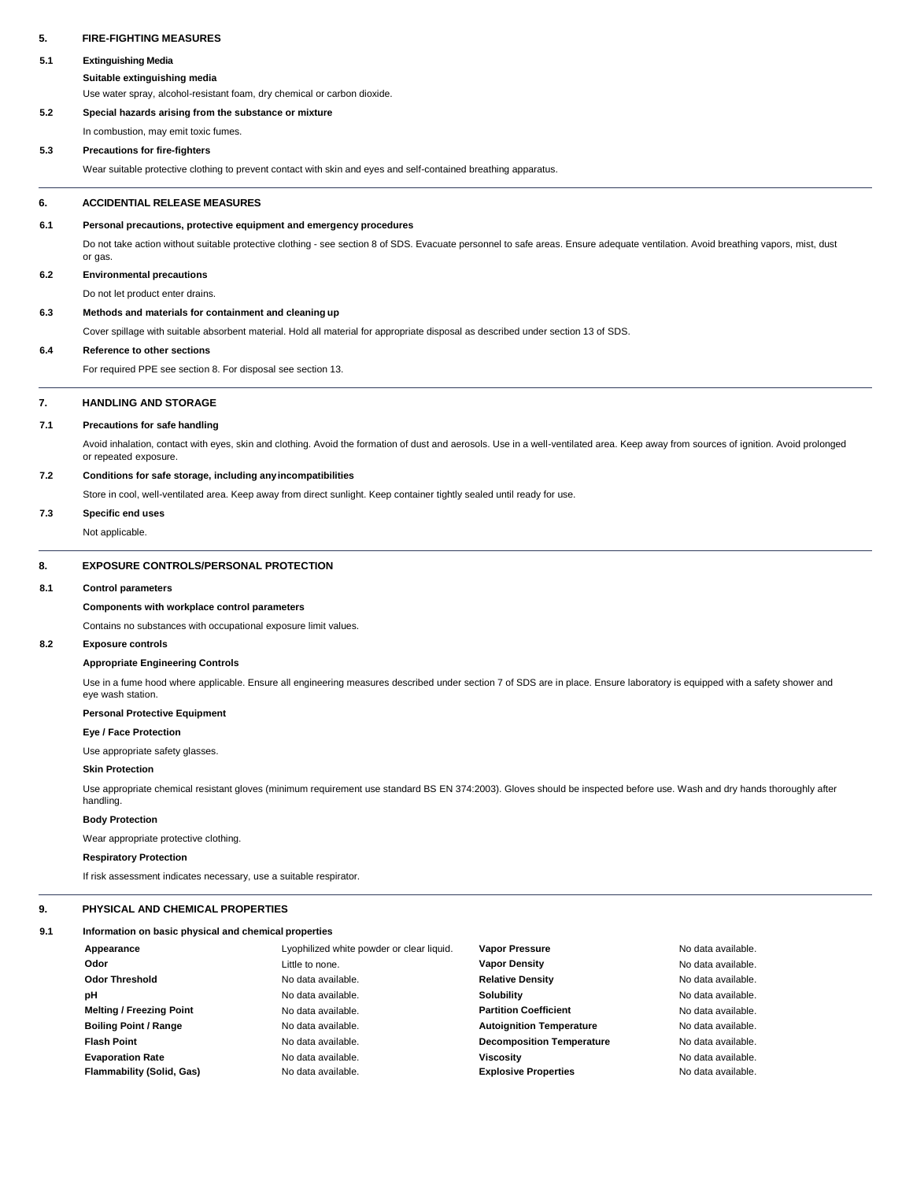## **5. FIRE-FIGHTING MEASURES**

### **5.1 Extinguishing Media**

**Suitable extinguishing media**

Use water spray, alcohol-resistant foam, dry chemical or carbon dioxide.

## **5.2 Special hazards arising from the substance or mixture**

In combustion, may emit toxic fumes.

### **5.3 Precautions for fire-fighters**

Wear suitable protective clothing to prevent contact with skin and eyes and self-contained breathing apparatus.

### **6. ACCIDENTIAL RELEASE MEASURES**

### **6.1 Personal precautions, protective equipment and emergency procedures**

Do not take action without suitable protective clothing - see section 8 of SDS. Evacuate personnel to safe areas. Ensure adequate ventilation. Avoid breathing vapors, mist, dust or gas.

### **6.2 Environmental precautions**

Do not let product enter drains.

## **6.3 Methods and materials for containment and cleaning up**

Cover spillage with suitable absorbent material. Hold all material for appropriate disposal as described under section 13 of SDS.

## **6.4 Reference to other sections**

For required PPE see section 8. For disposal see section 13.

### **7. HANDLING AND STORAGE**

### **7.1 Precautions for safe handling**

Avoid inhalation, contact with eyes, skin and clothing. Avoid the formation of dust and aerosols. Use in a well-ventilated area. Keep away from sources of ignition. Avoid prolonged or repeated exposure.

### **7.2 Conditions for safe storage, including anyincompatibilities**

Store in cool, well-ventilated area. Keep away from direct sunlight. Keep container tightly sealed until ready for use.

### **7.3 Specific end uses**

Not applicable.

## **8. EXPOSURE CONTROLS/PERSONAL PROTECTION**

### **8.1 Control parameters**

# **Components with workplace control parameters**

Contains no substances with occupational exposure limit values.

#### **8.2 Exposure controls**

### **Appropriate Engineering Controls**

Use in a fume hood where applicable. Ensure all engineering measures described under section 7 of SDS are in place. Ensure laboratory is equipped with a safety shower and eye wash station.

# **Personal Protective Equipment**

### **Eye / Face Protection**

Use appropriate safety glasses.

## **Skin Protection**

Use appropriate chemical resistant gloves (minimum requirement use standard BS EN 374:2003). Gloves should be inspected before use. Wash and dry hands thoroughly after handling.

### **Body Protection**

Wear appropriate protective clothing.

### **Respiratory Protection**

If risk assessment indicates necessary, use a suitable respirator.

# **9. PHYSICAL AND CHEMICAL PROPERTIES**

#### **9.1 Information on basic physical and chemical properties**

| Appearance                      | Lyophilized white powder or clear liquid. | <b>Vapor Pressure</b>            | No data available. |
|---------------------------------|-------------------------------------------|----------------------------------|--------------------|
| Odor                            | Little to none.                           | <b>Vapor Density</b>             | No data available. |
| <b>Odor Threshold</b>           | No data available.                        | <b>Relative Density</b>          | No data available. |
| рH                              | No data available.                        | Solubility                       | No data available. |
| <b>Melting / Freezing Point</b> | No data available.                        | <b>Partition Coefficient</b>     | No data available. |
| <b>Boiling Point / Range</b>    | No data available.                        | <b>Autoignition Temperature</b>  | No data available. |
| <b>Flash Point</b>              | No data available.                        | <b>Decomposition Temperature</b> | No data available. |
| <b>Evaporation Rate</b>         | No data available.                        | <b>Viscosity</b>                 | No data available. |
| Flammability (Solid, Gas)       | No data available.                        | <b>Explosive Properties</b>      | No data available. |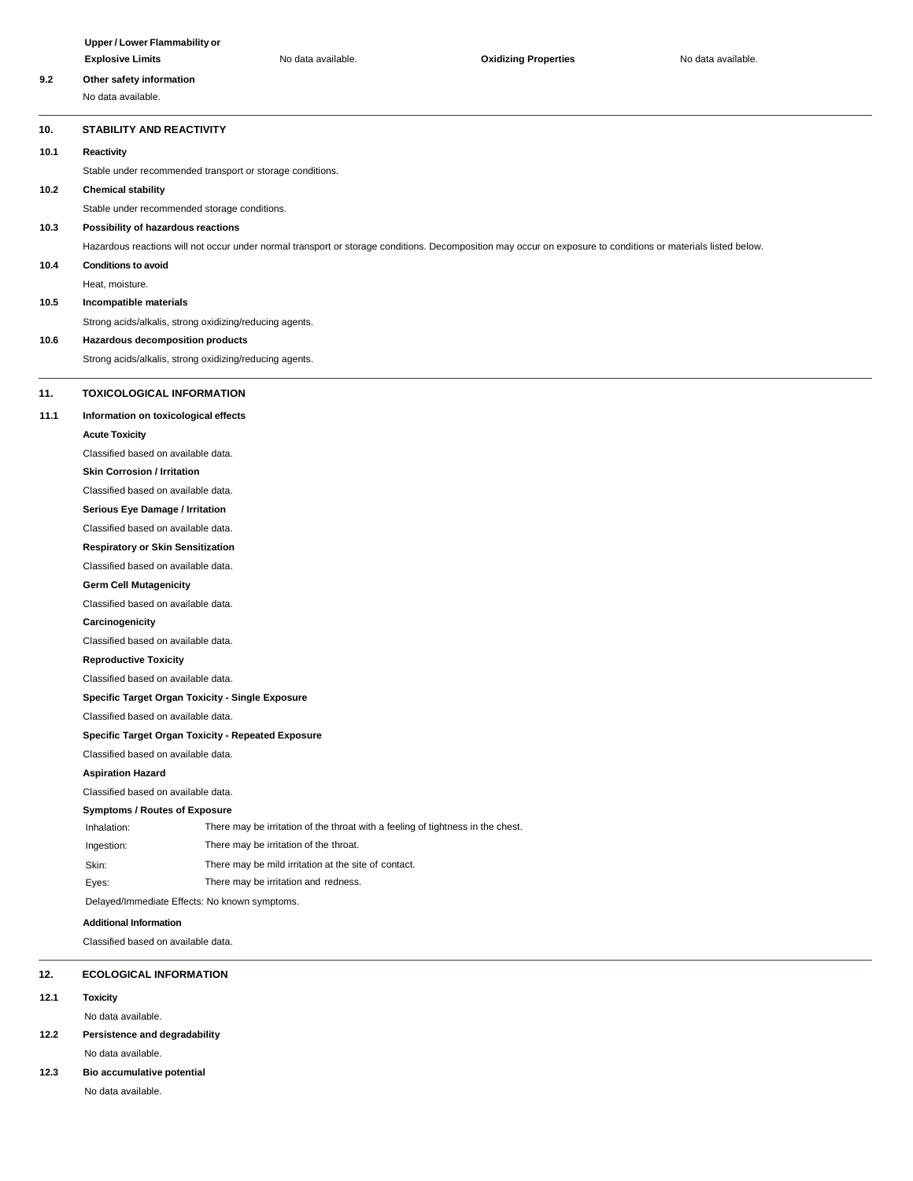|                                          | Upper / Lower Flammability or                                                                                                                                                        |                                                                                 |                             |                    |  |  |  |
|------------------------------------------|--------------------------------------------------------------------------------------------------------------------------------------------------------------------------------------|---------------------------------------------------------------------------------|-----------------------------|--------------------|--|--|--|
|                                          | <b>Explosive Limits</b>                                                                                                                                                              | No data available.                                                              | <b>Oxidizing Properties</b> | No data available. |  |  |  |
| 9.2                                      | Other safety information                                                                                                                                                             |                                                                                 |                             |                    |  |  |  |
|                                          | No data available.                                                                                                                                                                   |                                                                                 |                             |                    |  |  |  |
| 10.                                      | <b>STABILITY AND REACTIVITY</b>                                                                                                                                                      |                                                                                 |                             |                    |  |  |  |
| 10.1                                     | Reactivity                                                                                                                                                                           |                                                                                 |                             |                    |  |  |  |
|                                          |                                                                                                                                                                                      |                                                                                 |                             |                    |  |  |  |
| 10.2                                     | Stable under recommended transport or storage conditions.<br><b>Chemical stability</b>                                                                                               |                                                                                 |                             |                    |  |  |  |
|                                          |                                                                                                                                                                                      |                                                                                 |                             |                    |  |  |  |
| 10.3                                     | Stable under recommended storage conditions.<br>Possibility of hazardous reactions                                                                                                   |                                                                                 |                             |                    |  |  |  |
|                                          | Hazardous reactions will not occur under normal transport or storage conditions. Decomposition may occur on exposure to conditions or materials listed below.                        |                                                                                 |                             |                    |  |  |  |
| 10.4                                     | <b>Conditions to avoid</b>                                                                                                                                                           |                                                                                 |                             |                    |  |  |  |
|                                          | Heat, moisture.                                                                                                                                                                      |                                                                                 |                             |                    |  |  |  |
| 10.5                                     | Incompatible materials                                                                                                                                                               |                                                                                 |                             |                    |  |  |  |
|                                          | Strong acids/alkalis, strong oxidizing/reducing agents.                                                                                                                              |                                                                                 |                             |                    |  |  |  |
| Hazardous decomposition products<br>10.6 |                                                                                                                                                                                      |                                                                                 |                             |                    |  |  |  |
|                                          |                                                                                                                                                                                      | Strong acids/alkalis, strong oxidizing/reducing agents.                         |                             |                    |  |  |  |
|                                          |                                                                                                                                                                                      |                                                                                 |                             |                    |  |  |  |
| 11.                                      | <b>TOXICOLOGICAL INFORMATION</b>                                                                                                                                                     |                                                                                 |                             |                    |  |  |  |
| 11.1                                     | Information on toxicological effects                                                                                                                                                 |                                                                                 |                             |                    |  |  |  |
|                                          | <b>Acute Toxicity</b>                                                                                                                                                                |                                                                                 |                             |                    |  |  |  |
|                                          | Classified based on available data.                                                                                                                                                  |                                                                                 |                             |                    |  |  |  |
|                                          |                                                                                                                                                                                      | <b>Skin Corrosion / Irritation</b>                                              |                             |                    |  |  |  |
|                                          | Classified based on available data.                                                                                                                                                  |                                                                                 |                             |                    |  |  |  |
|                                          | Serious Eye Damage / Irritation                                                                                                                                                      |                                                                                 |                             |                    |  |  |  |
|                                          | Classified based on available data.                                                                                                                                                  |                                                                                 |                             |                    |  |  |  |
|                                          | <b>Respiratory or Skin Sensitization</b>                                                                                                                                             |                                                                                 |                             |                    |  |  |  |
|                                          |                                                                                                                                                                                      |                                                                                 |                             |                    |  |  |  |
|                                          | <b>Germ Cell Mutagenicity</b>                                                                                                                                                        |                                                                                 |                             |                    |  |  |  |
| Classified based on available data.      |                                                                                                                                                                                      |                                                                                 |                             |                    |  |  |  |
| Carcinogenicity                          |                                                                                                                                                                                      |                                                                                 |                             |                    |  |  |  |
|                                          | Classified based on available data.                                                                                                                                                  |                                                                                 |                             |                    |  |  |  |
| <b>Reproductive Toxicity</b>             |                                                                                                                                                                                      |                                                                                 |                             |                    |  |  |  |
|                                          | Classified based on available data.<br>Specific Target Organ Toxicity - Single Exposure<br>Classified based on available data.<br>Specific Target Organ Toxicity - Repeated Exposure |                                                                                 |                             |                    |  |  |  |
|                                          |                                                                                                                                                                                      |                                                                                 |                             |                    |  |  |  |
|                                          |                                                                                                                                                                                      |                                                                                 |                             |                    |  |  |  |
|                                          |                                                                                                                                                                                      |                                                                                 |                             |                    |  |  |  |
|                                          | Classified based on available data.                                                                                                                                                  |                                                                                 |                             |                    |  |  |  |
|                                          | <b>Aspiration Hazard</b>                                                                                                                                                             |                                                                                 |                             |                    |  |  |  |
|                                          | Classified based on available data.                                                                                                                                                  |                                                                                 |                             |                    |  |  |  |
|                                          | <b>Symptoms / Routes of Exposure</b>                                                                                                                                                 |                                                                                 |                             |                    |  |  |  |
|                                          | Inhalation:                                                                                                                                                                          | There may be irritation of the throat with a feeling of tightness in the chest. |                             |                    |  |  |  |
|                                          | Ingestion:                                                                                                                                                                           | There may be irritation of the throat.                                          |                             |                    |  |  |  |
|                                          | Skin:                                                                                                                                                                                | There may be mild irritation at the site of contact.                            |                             |                    |  |  |  |
|                                          | Eyes:                                                                                                                                                                                | There may be irritation and redness.                                            |                             |                    |  |  |  |
|                                          | Delayed/Immediate Effects: No known symptoms.                                                                                                                                        |                                                                                 |                             |                    |  |  |  |
|                                          | <b>Additional Information</b>                                                                                                                                                        |                                                                                 |                             |                    |  |  |  |
|                                          | Classified based on available data.                                                                                                                                                  |                                                                                 |                             |                    |  |  |  |
| 12.                                      | <b>ECOLOGICAL INFORMATION</b>                                                                                                                                                        |                                                                                 |                             |                    |  |  |  |

**12.1 Toxicity**

No data available.

# **12.2 Persistence and degradability**

# No data available.

**12.3 Bio accumulative potential**

No data available.